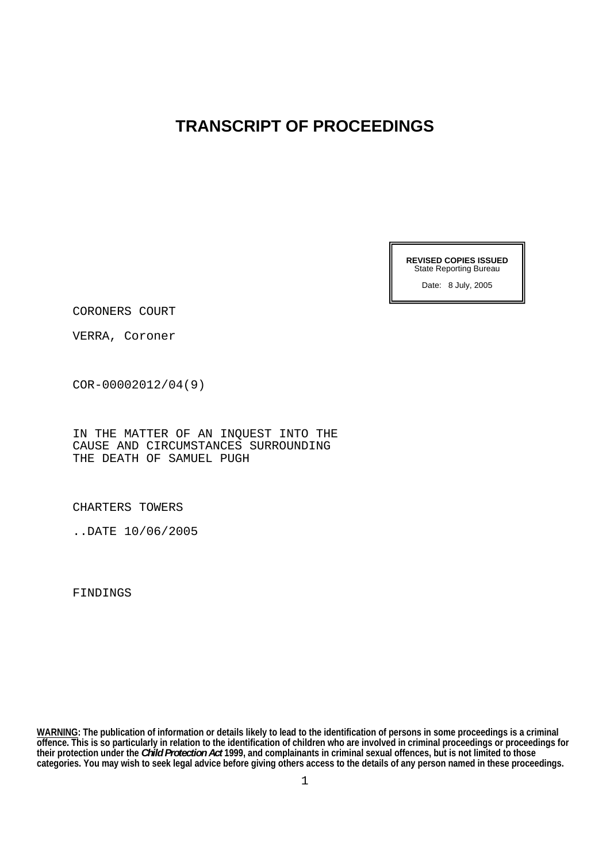## **TRANSCRIPT OF PROCEEDINGS**

**REVISED COPIES ISSUED**  State Reporting Bureau

Date: 8 July, 2005

CORONERS COURT

VERRA, Coroner

COR-00002012/04(9)

IN THE MATTER OF AN INQUEST INTO THE CAUSE AND CIRCUMSTANCES SURROUNDING THE DEATH OF SAMUEL PUGH

CHARTERS TOWERS

..DATE 10/06/2005

FINDINGS

**WARNING: The publication of information or details likely to lead to the identification of persons in some proceedings is a criminal offence. This is so particularly in relation to the identification of children who are involved in criminal proceedings or proceedings for their protection under the** *Child Protection Act* **1999, and complainants in criminal sexual offences, but is not limited to those categories. You may wish to seek legal advice before giving others access to the details of any person named in these proceedings.**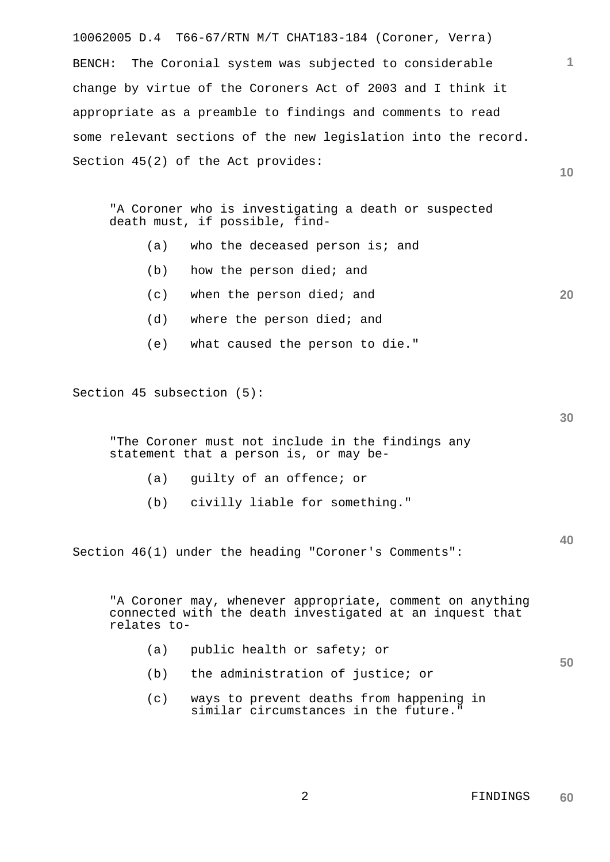10062005 D.4 T66-67/RTN M/T CHAT183-184 (Coroner, Verra) BENCH: The Coronial system was subjected to considerable change by virtue of the Coroners Act of 2003 and I think it appropriate as a preamble to findings and comments to read some relevant sections of the new legislation into the record. Section 45(2) of the Act provides:

"A Coroner who is investigating a death or suspected death must, if possible, find-

- $(a)$  who the deceased person is; and
- (b) how the person died; and
- (c) when the person died; and
- (d) where the person died; and
- (e) what caused the person to die."

Section 45 subsection (5):

"The Coroner must not include in the findings any statement that a person is, or may be-

- (a) guilty of an offence; or
- (b) civilly liable for something."

Section 46(1) under the heading "Coroner's Comments":

"A Coroner may, whenever appropriate, comment on anything connected with the death investigated at an inquest that relates to-

- (a) public health or safety; or
- (b) the administration of justice; or
- (c) ways to prevent deaths from happening in similar circumstances in the future."

**30** 

**40** 

**50** 

**20** 

**10**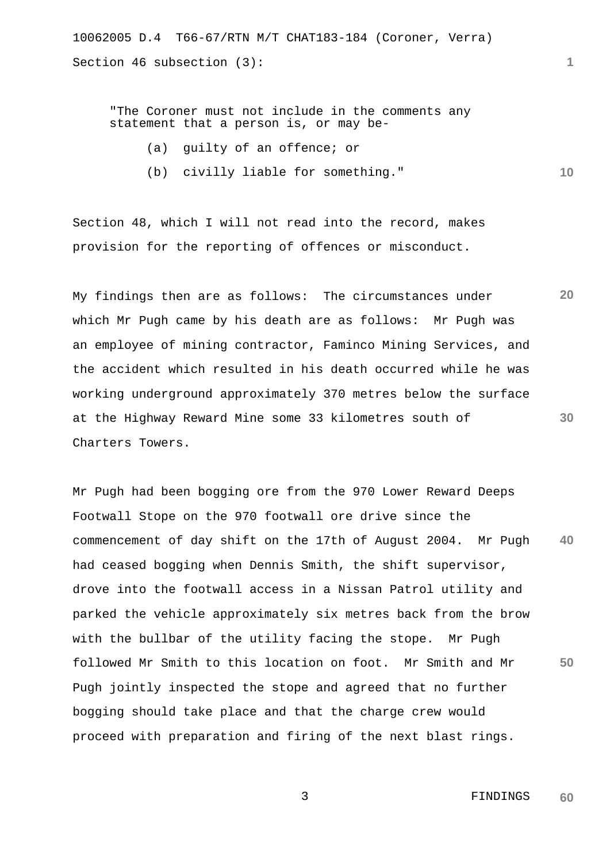"The Coroner must not include in the comments any statement that a person is, or may be-

- (a) guilty of an offence; or
- **10**  (b) civilly liable for something."

Section 48, which I will not read into the record, makes provision for the reporting of offences or misconduct.

**20 30**  My findings then are as follows: The circumstances under which Mr Pugh came by his death are as follows: Mr Pugh was an employee of mining contractor, Faminco Mining Services, and the accident which resulted in his death occurred while he was working underground approximately 370 metres below the surface at the Highway Reward Mine some 33 kilometres south of Charters Towers.

**40 50**  Mr Pugh had been bogging ore from the 970 Lower Reward Deeps Footwall Stope on the 970 footwall ore drive since the commencement of day shift on the 17th of August 2004. Mr Pugh had ceased bogging when Dennis Smith, the shift supervisor, drove into the footwall access in a Nissan Patrol utility and parked the vehicle approximately six metres back from the brow with the bullbar of the utility facing the stope. Mr Pugh followed Mr Smith to this location on foot. Mr Smith and Mr Pugh jointly inspected the stope and agreed that no further bogging should take place and that the charge crew would proceed with preparation and firing of the next blast rings.

> 3 FINDINGS **60**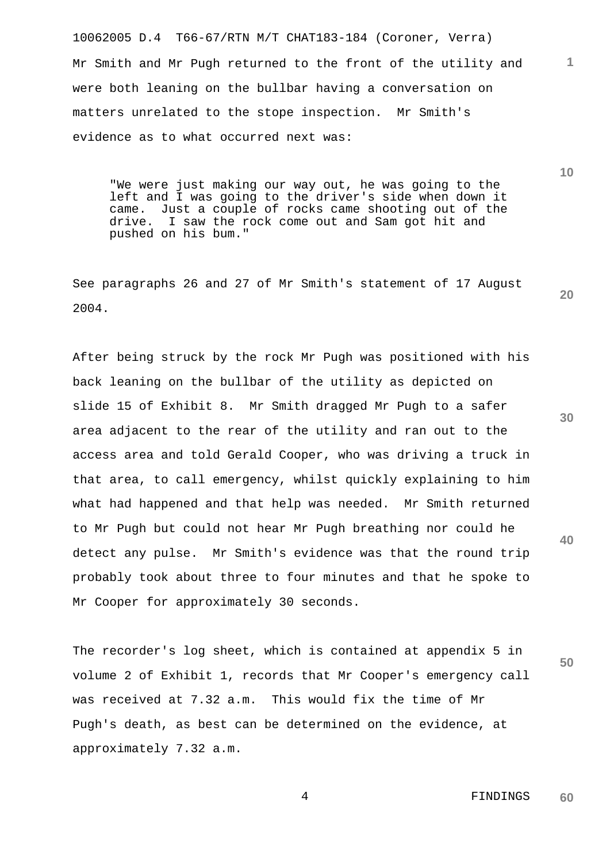10062005 D.4 T66-67/RTN M/T CHAT183-184 (Coroner, Verra) Mr Smith and Mr Pugh returned to the front of the utility and were both leaning on the bullbar having a conversation on matters unrelated to the stope inspection. Mr Smith's evidence as to what occurred next was:

"We were just making our way out, he was going to the left and I was going to the driver's side when down it came. Just a couple of rocks came shooting out of the drive. I saw the rock come out and Sam got hit and pushed on his bum."

See paragraphs 26 and 27 of Mr Smith's statement of 17 August 2004.

After being struck by the rock Mr Pugh was positioned with his back leaning on the bullbar of the utility as depicted on slide 15 of Exhibit 8. Mr Smith dragged Mr Pugh to a safer area adjacent to the rear of the utility and ran out to the access area and told Gerald Cooper, who was driving a truck in that area, to call emergency, whilst quickly explaining to him what had happened and that help was needed. Mr Smith returned to Mr Pugh but could not hear Mr Pugh breathing nor could he detect any pulse. Mr Smith's evidence was that the round trip probably took about three to four minutes and that he spoke to Mr Cooper for approximately 30 seconds.

The recorder's log sheet, which is contained at appendix 5 in volume 2 of Exhibit 1, records that Mr Cooper's emergency call was received at 7.32 a.m. This would fix the time of Mr Pugh's death, as best can be determined on the evidence, at approximately 7.32 a.m.

**30** 

**40** 

**50** 

**1**

**10**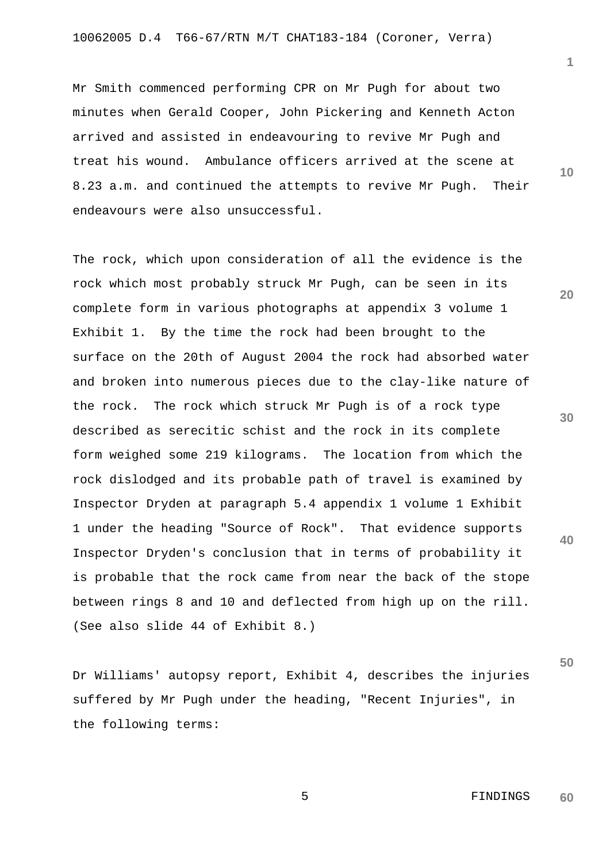Mr Smith commenced performing CPR on Mr Pugh for about two minutes when Gerald Cooper, John Pickering and Kenneth Acton arrived and assisted in endeavouring to revive Mr Pugh and treat his wound. Ambulance officers arrived at the scene at 8.23 a.m. and continued the attempts to revive Mr Pugh. Their endeavours were also unsuccessful.

The rock, which upon consideration of all the evidence is the rock which most probably struck Mr Pugh, can be seen in its complete form in various photographs at appendix 3 volume 1 Exhibit 1. By the time the rock had been brought to the surface on the 20th of August 2004 the rock had absorbed water and broken into numerous pieces due to the clay-like nature of the rock. The rock which struck Mr Pugh is of a rock type described as serecitic schist and the rock in its complete form weighed some 219 kilograms. The location from which the rock dislodged and its probable path of travel is examined by Inspector Dryden at paragraph 5.4 appendix 1 volume 1 Exhibit 1 under the heading "Source of Rock". That evidence supports Inspector Dryden's conclusion that in terms of probability it is probable that the rock came from near the back of the stope between rings 8 and 10 and deflected from high up on the rill. (See also slide 44 of Exhibit 8.)

Dr Williams' autopsy report, Exhibit 4, describes the injuries suffered by Mr Pugh under the heading, "Recent Injuries", in the following terms:

**10** 

**1**

**20** 

**30** 

**40**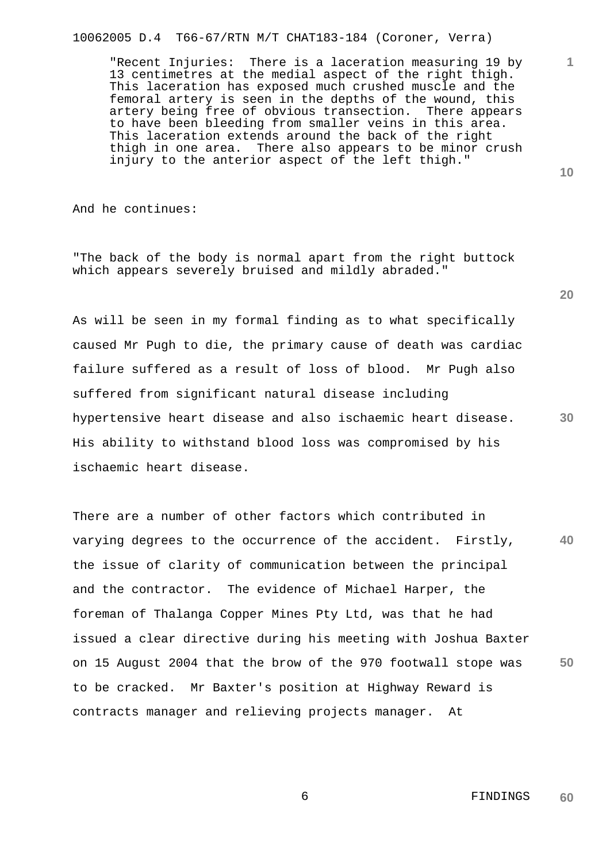10062005 D.4 T66-67/RTN M/T CHAT183-184 (Coroner, Verra)

"Recent Injuries: There is a laceration measuring 19 by 13 centimetres at the medial aspect of the right thigh. This laceration has exposed much crushed muscle and the femoral artery is seen in the depths of the wound, this artery being free of obvious transection. There appears to have been bleeding from smaller veins in this area. This laceration extends around the back of the right thigh in one area. There also appears to be minor crush injury to the anterior aspect of the left thigh."

And he continues:

"The back of the body is normal apart from the right buttock which appears severely bruised and mildly abraded."

As will be seen in my formal finding as to what specifically caused Mr Pugh to die, the primary cause of death was cardiac failure suffered as a result of loss of blood. Mr Pugh also suffered from significant natural disease including hypertensive heart disease and also ischaemic heart disease. His ability to withstand blood loss was compromised by his ischaemic heart disease.

**40 50**  There are a number of other factors which contributed in varying degrees to the occurrence of the accident. Firstly, the issue of clarity of communication between the principal and the contractor. The evidence of Michael Harper, the foreman of Thalanga Copper Mines Pty Ltd, was that he had issued a clear directive during his meeting with Joshua Baxter on 15 August 2004 that the brow of the 970 footwall stope was to be cracked. Mr Baxter's position at Highway Reward is contracts manager and relieving projects manager. At

**20** 

**10** 

**1**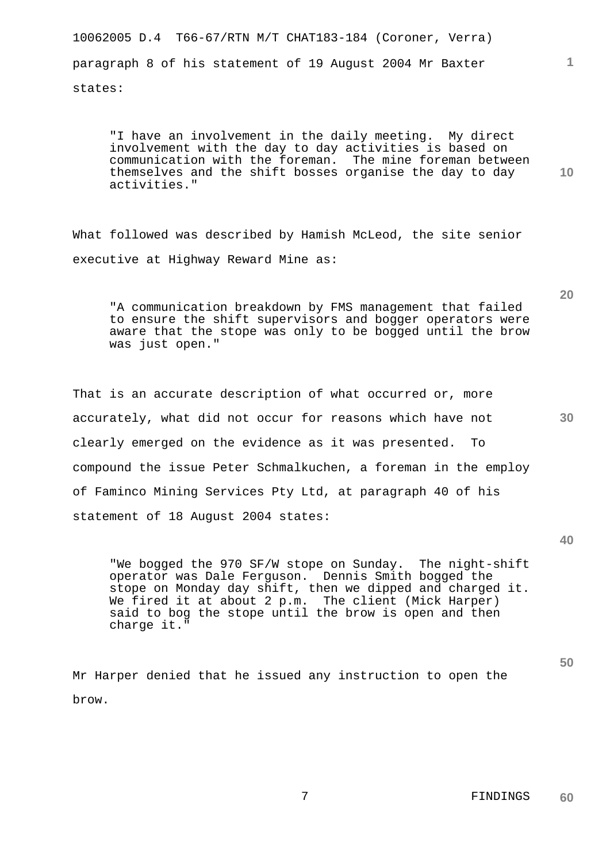10062005 D.4 T66-67/RTN M/T CHAT183-184 (Coroner, Verra) paragraph 8 of his statement of 19 August 2004 Mr Baxter states:

"I have an involvement in the daily meeting. My direct involvement with the day to day activities is based on communication with the foreman. The mine foreman between themselves and the shift bosses organise the day to day activities."

What followed was described by Hamish McLeod, the site senior executive at Highway Reward Mine as:

"A communication breakdown by FMS management that failed to ensure the shift supervisors and bogger operators were aware that the stope was only to be bogged until the brow was just open."

That is an accurate description of what occurred or, more accurately, what did not occur for reasons which have not clearly emerged on the evidence as it was presented. To compound the issue Peter Schmalkuchen, a foreman in the employ of Faminco Mining Services Pty Ltd, at paragraph 40 of his statement of 18 August 2004 states:

"We bogged the 970 SF/W stope on Sunday. The night-shift operator was Dale Ferguson. Dennis Smith bogged the stope on Monday day shift, then we dipped and charged it. We fired it at about 2 p.m. The client (Mick Harper) said to bog the stope until the brow is open and then charge it."

Mr Harper denied that he issued any instruction to open the brow.

**40** 

**50** 

**30** 

**20** 

**1**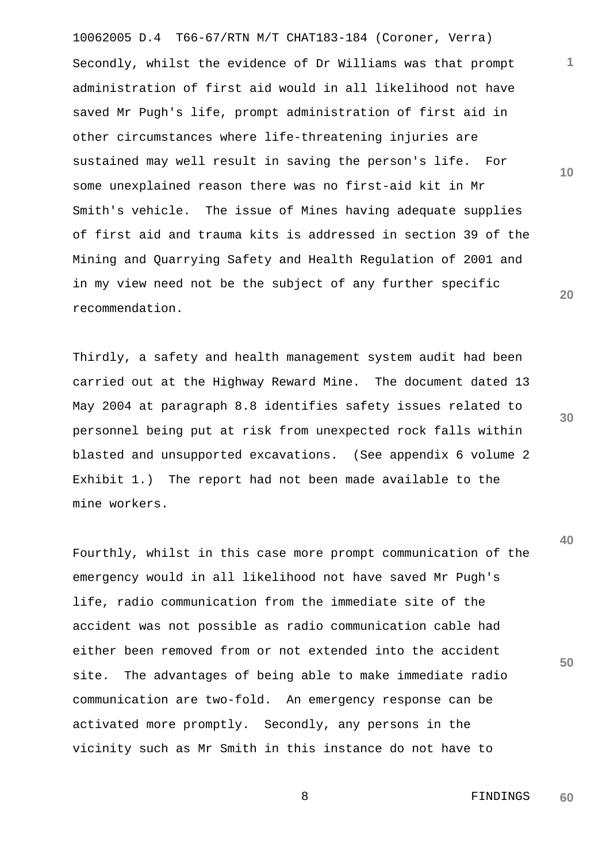10062005 D.4 T66-67/RTN M/T CHAT183-184 (Coroner, Verra) Secondly, whilst the evidence of Dr Williams was that prompt administration of first aid would in all likelihood not have saved Mr Pugh's life, prompt administration of first aid in other circumstances where life-threatening injuries are sustained may well result in saving the person's life. For some unexplained reason there was no first-aid kit in Mr Smith's vehicle. The issue of Mines having adequate supplies of first aid and trauma kits is addressed in section 39 of the Mining and Quarrying Safety and Health Regulation of 2001 and in my view need not be the subject of any further specific recommendation.

Thirdly, a safety and health management system audit had been carried out at the Highway Reward Mine. The document dated 13 May 2004 at paragraph 8.8 identifies safety issues related to personnel being put at risk from unexpected rock falls within blasted and unsupported excavations. (See appendix 6 volume 2 Exhibit 1.) The report had not been made available to the mine workers.

Fourthly, whilst in this case more prompt communication of the emergency would in all likelihood not have saved Mr Pugh's life, radio communication from the immediate site of the accident was not possible as radio communication cable had either been removed from or not extended into the accident site. The advantages of being able to make immediate radio communication are two-fold. An emergency response can be activated more promptly. Secondly, any persons in the vicinity such as Mr Smith in this instance do not have to

**30** 

**1**

**10** 

**20** 

**40**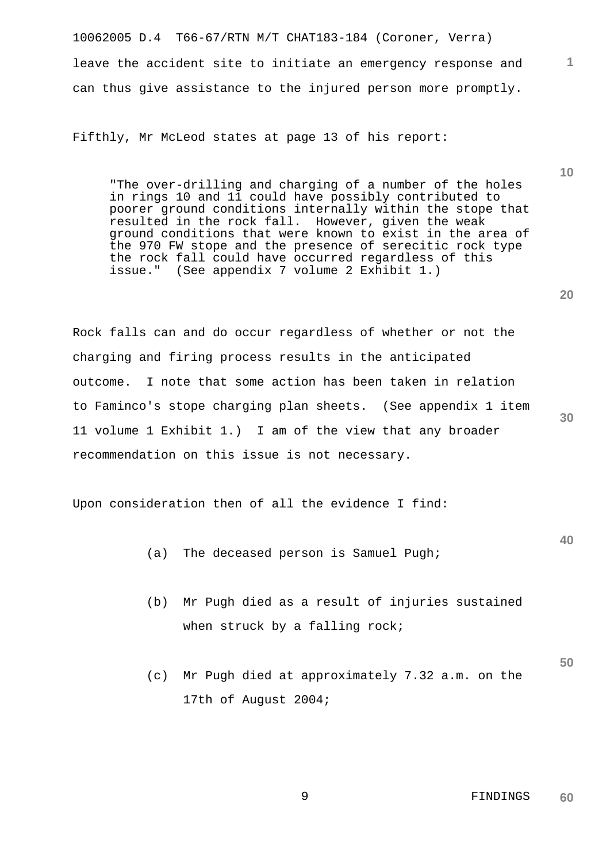10062005 D.4 T66-67/RTN M/T CHAT183-184 (Coroner, Verra) leave the accident site to initiate an emergency response and can thus give assistance to the injured person more promptly.

Fifthly, Mr McLeod states at page 13 of his report:

"The over-drilling and charging of a number of the holes in rings 10 and 11 could have possibly contributed to poorer ground conditions internally within the stope that resulted in the rock fall. However, given the weak ground conditions that were known to exist in the area of the 970 FW stope and the presence of serecitic rock type the rock fall could have occurred regardless of this issue." (See appendix 7 volume 2 Exhibit 1.)

Rock falls can and do occur regardless of whether or not the charging and firing process results in the anticipated outcome. I note that some action has been taken in relation to Faminco's stope charging plan sheets. (See appendix 1 item 11 volume 1 Exhibit 1.) I am of the view that any broader recommendation on this issue is not necessary.

Upon consideration then of all the evidence I find:

- (a) The deceased person is Samuel Pugh;
- (b) Mr Pugh died as a result of injuries sustained when struck by a falling rock;
- (c) Mr Pugh died at approximately 7.32 a.m. on the 17th of August 2004;

 9 FINDINGS **60** 

**20** 

**30** 

**1**

**10** 

**40**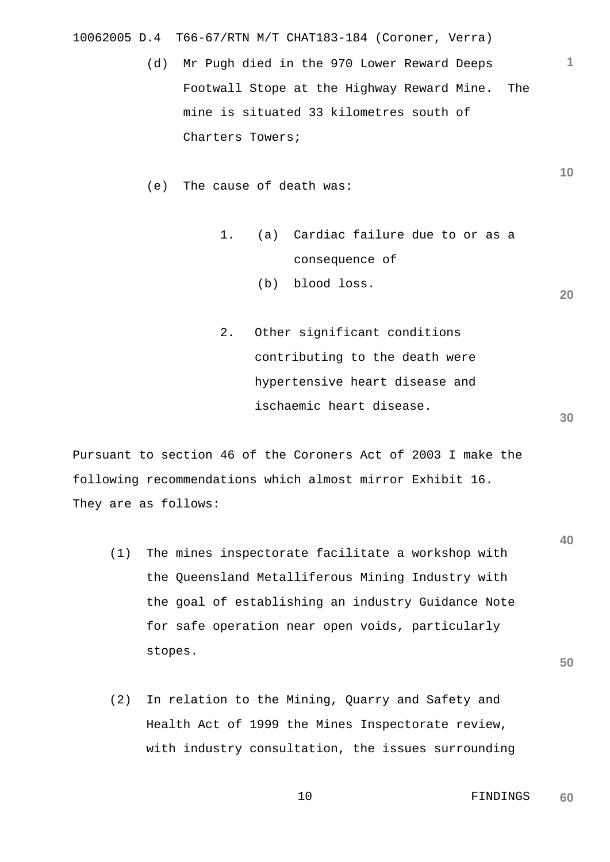10062005 D.4 T66-67/RTN M/T CHAT183-184 (Coroner, Verra)

(d) Mr Pugh died in the 970 Lower Reward Deeps Footwall Stope at the Highway Reward Mine. The mine is situated 33 kilometres south of Charters Towers;

(e) The cause of death was:

- 1. (a) Cardiac failure due to or as a consequence of
	- (b) blood loss.
- 2. Other significant conditions contributing to the death were hypertensive heart disease and ischaemic heart disease.

Pursuant to section 46 of the Coroners Act of 2003 I make the following recommendations which almost mirror Exhibit 16. They are as follows:

- (1) The mines inspectorate facilitate a workshop with the Queensland Metalliferous Mining Industry with the goal of establishing an industry Guidance Note for safe operation near open voids, particularly stopes.
- **50**
- (2) In relation to the Mining, Quarry and Safety and Health Act of 1999 the Mines Inspectorate review, with industry consultation, the issues surrounding

**10** 

**1**

**30** 

**40**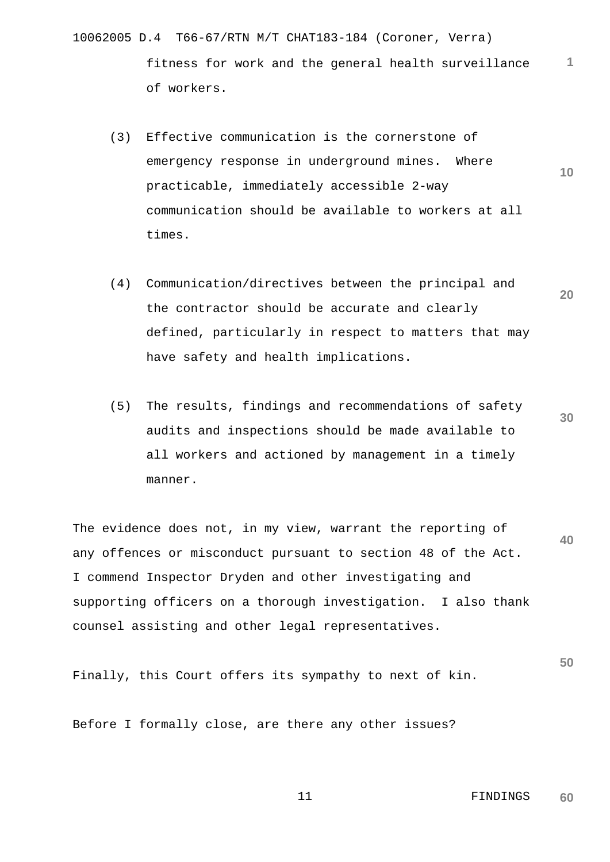- 10062005 D.4 T66-67/RTN M/T CHAT183-184 (Coroner, Verra) **1** fitness for work and the general health surveillance of workers.
	- **10**  (3) Effective communication is the cornerstone of emergency response in underground mines. Where practicable, immediately accessible 2-way communication should be available to workers at all times.
	- **20**  (4) Communication/directives between the principal and the contractor should be accurate and clearly defined, particularly in respect to matters that may have safety and health implications.
	- **30**  (5) The results, findings and recommendations of safety audits and inspections should be made available to all workers and actioned by management in a timely manner.

**40**  The evidence does not, in my view, warrant the reporting of any offences or misconduct pursuant to section 48 of the Act. I commend Inspector Dryden and other investigating and supporting officers on a thorough investigation. I also thank counsel assisting and other legal representatives.

Finally, this Court offers its sympathy to next of kin.

Before I formally close, are there any other issues?